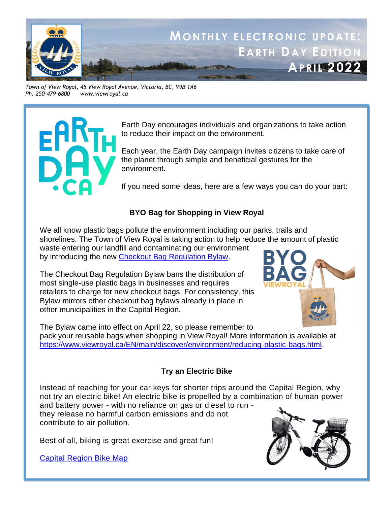

*Town of View Royal, 45 View Royal Avenue, Victoria, BC, V9B 1A6 Ph. 250-479-6800 www.viewroyal.ca*



Earth Day encourages individuals and organizations to take action to reduce their impact on the environment.

Each year, the Earth Day campaign invites citizens to take care of the planet through simple and beneficial gestures for the environment.

If you need some ideas, here are a few ways you can do your part:

# **BYO Bag for Shopping in View Royal**

We all know plastic bags pollute the environment including our parks, trails and shorelines. The Town of View Royal is taking action to help reduce the amount of plastic waste entering our landfill and contaminating our environment by introducing the new [Checkout Bag Regulation Bylaw.](https://www.viewroyal.ca/assets/Town~Hall/Bylaws/1087%20-%20Checkout%20Bag%20Regulation%20Bylaw.pdf)

The Checkout Bag Regulation Bylaw bans the distribution of most single-use plastic bags in businesses and requires retailers to charge for new checkout bags. For consistency, this Bylaw mirrors other checkout bag bylaws already in place in other municipalities in the Capital Region.



The Bylaw came into effect on April 22, so please remember to pack your reusable bags when shopping in View Royal! More information is available at [https://www.viewroyal.ca/EN/main/discover/environment/reducing-plastic-bags.html.](https://www.viewroyal.ca/EN/main/discover/environment/reducing-plastic-bags.html)

# **Try an Electric Bike**

Instead of reaching for your car keys for shorter trips around the Capital Region, why not try an electric bike! An electric bike is propelled by a combination of human power and battery power - with no reliance on gas or diesel to run they release no harmful carbon emissions and do not contribute to air pollution.

Best of all, biking is great exercise and great fun!

[Capital Region Bike Map](https://maps.crd.bc.ca/Html5Viewer/?viewer=BikeMap)

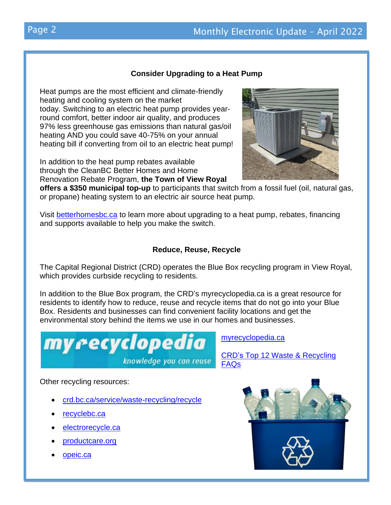# **Consider Upgrading to a Heat Pump**

Heat pumps are the most efficient and climate-friendly heating and cooling system on the market today. Switching to an electric heat pump provides yearround comfort, better indoor air quality, and produces 97% less greenhouse gas emissions than natural gas/oil heating AND you could save 40-75% on your annual heating bill if converting from oil to an electric heat pump!

In addition to the heat pump rebates available through the CleanBC Better Homes and Home Renovation Rebate Program, **the Town of View Royal**



**offers a \$350 municipal top-up** to participants that switch from a fossil fuel (oil, natural gas, or propane) heating system to an electric air source heat pump.

Visit [betterhomesbc.ca](https://t.co/vDKdBsTtGu) to learn more about upgrading to a heat pump, rebates, financing and supports available to help you make the switch.

# **Reduce, Reuse, Recycle**

The Capital Regional District (CRD) operates the Blue Box recycling program in View Royal, which provides curbside recycling to residents.

In addition to the Blue Box program, the CRD's myrecyclopedia.ca is a great resource for residents to identify how to reduce, reuse and recycle items that do not go into your Blue Box. Residents and businesses can find convenient facility locations and get the environmental story behind the items we use in our homes and businesses.



Other recycling resources:

- [crd.bc.ca/service/waste-recycling/recycle](https://www.crd.bc.ca/service/waste-recycling/recycle)
- [recyclebc.ca](https://recyclebc.ca/)
- [electrorecycle.ca](https://www.electrorecycle.ca/)
- [productcare.org](https://www.productcare.org/)
- [opeic.ca](https://www.opeic.ca/recycling-depot/)



[myrecyclopedia.ca](https://www.crd.bc.ca/service/waste-recycling/recycle/myrecyclopedia)

[FAQs](https://www.crd.bc.ca/docs/default-source/recycling-waste-pdf/top12recycling-faq.pdf?sfvrsn=c06b67cc_8)

CRD's [Top 12 Waste &](https://www.crd.bc.ca/docs/default-source/recycling-waste-pdf/top12recycling-faq.pdf?sfvrsn=c06b67cc_8) Recycling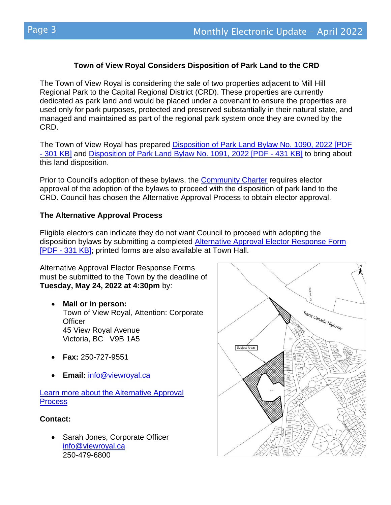# **Town of View Royal Considers Disposition of Park Land to the CRD**

The Town of View Royal is considering the sale of two properties adjacent to Mill Hill Regional Park to the Capital Regional District (CRD). These properties are currently dedicated as park land and would be placed under a covenant to ensure the properties are used only for park purposes, protected and preserved substantially in their natural state, and managed and maintained as part of the regional park system once they are owned by the CRD.

The Town of View Royal has prepared [Disposition of Park Land Bylaw No. 1090, 2022 \[PDF](https://www.viewroyal.ca/assets/Town~Hall/Documents-Forms/Elections/2022%2004%2012%20-%20Bylaw%201090.pdf)  - [301 KB\]](https://www.viewroyal.ca/assets/Town~Hall/Documents-Forms/Elections/2022%2004%2012%20-%20Bylaw%201090.pdf) and [Disposition of Park Land Bylaw No. 1091, 2022 \[PDF -](https://www.viewroyal.ca/assets/Town~Hall/Documents-Forms/Elections/2022%2004%2012%20-%20Bylaw%201091.pdf) 431 KB] to bring about this land disposition.

Prior to Council's adoption of these bylaws, the [Community Charter](https://www.bclaws.gov.bc.ca/civix/document/id/complete/statreg/03026_04) requires elector approval of the adoption of the bylaws to proceed with the disposition of park land to the CRD. Council has chosen the Alternative Approval Process to obtain elector approval.

### **The Alternative Approval Process**

Eligible electors can indicate they do not want Council to proceed with adopting the disposition bylaws by submitting a completed [Alternative Approval Elector Response Form](https://www.viewroyal.ca/assets/Town~Hall/Documents-Forms/Elections/2022%2004%2013%20Elector%20Response%20Form.pdf)  [PDF - [331 KB\];](https://www.viewroyal.ca/assets/Town~Hall/Documents-Forms/Elections/2022%2004%2013%20Elector%20Response%20Form.pdf) printed forms are also available at Town Hall.

Alternative Approval Elector Response Forms must be submitted to the Town by the deadline of **Tuesday, May 24, 2022 at 4:30pm** by:

- **Mail or in person:** Town of View Royal, Attention: Corporate **Officer** 45 View Royal Avenue Victoria, BC V9B 1A5
- **Fax:** 250-727-9551
- **Email:** [info@viewroyal.ca](mailto:info@viewroyal.ca)

[Learn more about the Alternative Approval](https://www.viewroyal.ca/EN/main/town/elections-1/alternative-approval-process.html)  **[Process](https://www.viewroyal.ca/EN/main/town/elections-1/alternative-approval-process.html)** 

## **Contact:**

• Sarah Jones, Corporate Officer [info@viewroyal.ca](mailto:info@viewroyal.ca) 250-479-6800

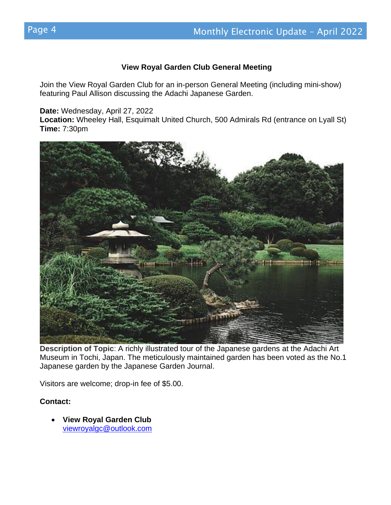#### **View Royal Garden Club General Meeting**

Join the View Royal Garden Club for an in-person General Meeting (including mini-show) featuring Paul Allison discussing the Adachi Japanese Garden.

**Date:** Wednesday, April 27, 2022

**Location:** Wheeley Hall, Esquimalt United Church, 500 Admirals Rd (entrance on Lyall St) **Time:** 7:30pm



**Description of Topic**: A richly illustrated tour of the Japanese gardens at the Adachi Art Museum in Tochi, Japan. The meticulously maintained garden has been voted as the No.1 Japanese garden by the Japanese Garden Journal.

Visitors are welcome; drop-in fee of \$5.00.

#### **Contact:**

• **View Royal Garden Club** [viewroyalgc@outlook.com](mailto:viewroyalgc@outlook.com)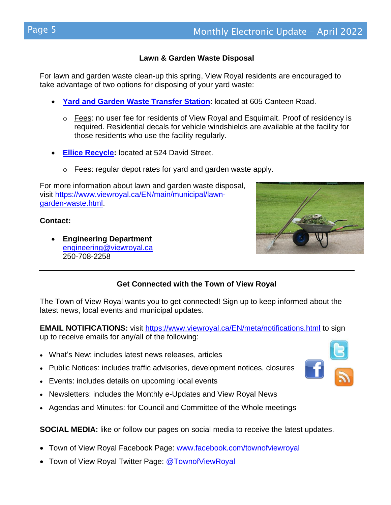### **Lawn & Garden Waste Disposal**

For lawn and garden waste clean-up this spring, View Royal residents are encouraged to take advantage of two options for disposing of your yard waste:

- [Yard and Garden Waste Transfer Station](https://www.esquimalt.ca/municipal-services/garbage-recycling/yard-garden-waste): located at 605 Canteen Road.
	- Fees: no user fee for residents of View Royal and Esquimalt. Proof of residency is required. Residential decals for vehicle windshields are available at the facility for those residents who use the facility regularly.
- **[Ellice Recycle:](http://www.ellicerecycle.com/)** located at 524 David Street.
	- o Fees: regular depot rates for yard and garden waste apply.

For more information about lawn and garden waste disposal, visit [https://www.viewroyal.ca/EN/main/municipal/lawn](https://www.viewroyal.ca/EN/main/municipal/lawn-garden-waste.html)[garden-waste.html.](https://www.viewroyal.ca/EN/main/municipal/lawn-garden-waste.html)

#### **Contact:**

• **Engineering Department** [engineering@viewroyal.ca](mailto:engineering@viewroyal.ca) 250-708-2258



## **Get Connected with the Town of View Royal**

The Town of View Royal wants you to get connected! Sign up to keep informed about the latest news, local events and municipal updates.

**EMAIL NOTIFICATIONS:** visit<https://www.viewroyal.ca/EN/meta/notifications.html> to sign up to receive emails for any/all of the following:

- What's New: includes latest news releases, articles
- Public Notices: includes traffic advisories, development notices, closures
- Events: includes details on upcoming local events
- Newsletters: includes the Monthly e-Updates and View Royal News
- Agendas and Minutes: for Council and Committee of the Whole meetings

**SOCIAL MEDIA:** like or follow our pages on social media to receive the latest updates.

- Town of View Royal Facebook Page: [www.facebook.com/townofviewroyal](http://www.facebook.com/townofviewroyal)
- Town of View Royal Twitter Page: [@TownofViewRoyal](http://www.twitter.com/townofviewroyal)